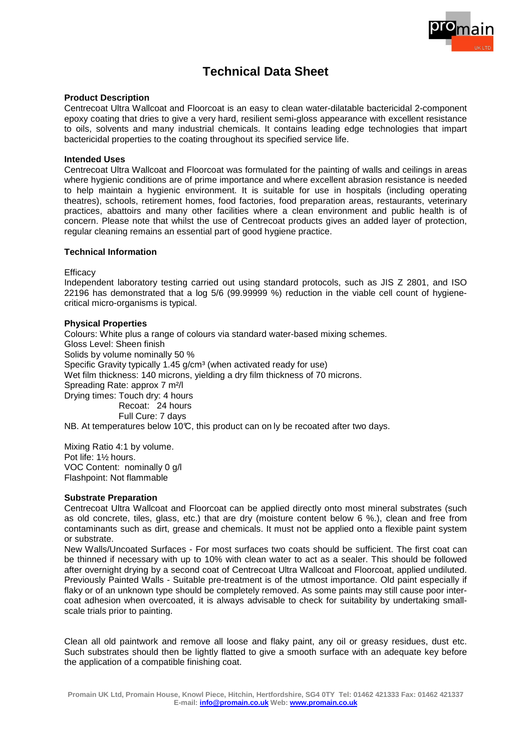

# **Technical Data Sheet**

### **Product Description**

Centrecoat Ultra Wallcoat and Floorcoat is an easy to clean water-dilatable bactericidal 2-component epoxy coating that dries to give a very hard, resilient semi-gloss appearance with excellent resistance to oils, solvents and many industrial chemicals. It contains leading edge technologies that impart bactericidal properties to the coating throughout its specified service life.

### **Intended Uses**

Centrecoat Ultra Wallcoat and Floorcoat was formulated for the painting of walls and ceilings in areas where hygienic conditions are of prime importance and where excellent abrasion resistance is needed to help maintain a hygienic environment. It is suitable for use in hospitals (including operating theatres), schools, retirement homes, food factories, food preparation areas, restaurants, veterinary practices, abattoirs and many other facilities where a clean environment and public health is of concern. Please note that whilst the use of Centrecoat products gives an added layer of protection, regular cleaning remains an essential part of good hygiene practice.

## **Technical Information**

**Efficacy** 

Independent laboratory testing carried out using standard protocols, such as JIS Z 2801, and ISO 22196 has demonstrated that a log 5/6 (99.99999 %) reduction in the viable cell count of hygienecritical micro-organisms is typical.

### **Physical Properties**

Colours: White plus a range of colours via standard water-based mixing schemes. Gloss Level: Sheen finish Solids by volume nominally 50 % Specific Gravity typically 1.45 g/cm<sup>3</sup> (when activated ready for use) Wet film thickness: 140 microns, yielding a dry film thickness of 70 microns. Spreading Rate: approx 7 m²/l Drying times: Touch dry: 4 hours Recoat: 24 hours Full Cure: 7 days NB. At temperatures below 10 $\mathfrak{C}$ , this product can on ly be recoated after two days.

Mixing Ratio 4:1 by volume. Pot life: 1½ hours. VOC Content: nominally 0 g/l Flashpoint: Not flammable

### **Substrate Preparation**

Centrecoat Ultra Wallcoat and Floorcoat can be applied directly onto most mineral substrates (such as old concrete, tiles, glass, etc.) that are dry (moisture content below 6 %.), clean and free from contaminants such as dirt, grease and chemicals. It must not be applied onto a flexible paint system or substrate.

New Walls/Uncoated Surfaces - For most surfaces two coats should be sufficient. The first coat can be thinned if necessary with up to 10% with clean water to act as a sealer. This should be followed after overnight drying by a second coat of Centrecoat Ultra Wallcoat and Floorcoat, applied undiluted. Previously Painted Walls - Suitable pre-treatment is of the utmost importance. Old paint especially if flaky or of an unknown type should be completely removed. As some paints may still cause poor intercoat adhesion when overcoated, it is always advisable to check for suitability by undertaking smallscale trials prior to painting.

Clean all old paintwork and remove all loose and flaky paint, any oil or greasy residues, dust etc. Such substrates should then be lightly flatted to give a smooth surface with an adequate key before the application of a compatible finishing coat.